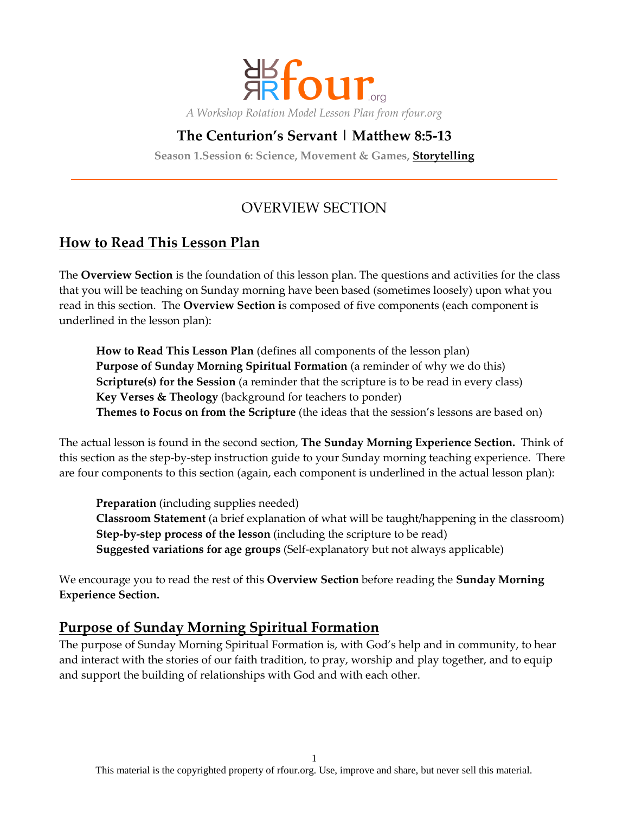

# **The Centurion's Servant | Matthew 8:5-13**

**Season 1.Session 6: Science, Movement & Games, Storytelling**

# OVERVIEW SECTION

# **How to Read This Lesson Plan**

The **Overview Section** is the foundation of this lesson plan. The questions and activities for the class that you will be teaching on Sunday morning have been based (sometimes loosely) upon what you read in this section. The **Overview Section i**s composed of five components (each component is underlined in the lesson plan):

**How to Read This Lesson Plan** (defines all components of the lesson plan) **Purpose of Sunday Morning Spiritual Formation** (a reminder of why we do this) **Scripture(s) for the Session** (a reminder that the scripture is to be read in every class) **Key Verses & Theology** (background for teachers to ponder) **Themes to Focus on from the Scripture** (the ideas that the session's lessons are based on)

The actual lesson is found in the second section, **The Sunday Morning Experience Section.** Think of this section as the step-by-step instruction guide to your Sunday morning teaching experience. There are four components to this section (again, each component is underlined in the actual lesson plan):

**Preparation** (including supplies needed) **Classroom Statement** (a brief explanation of what will be taught/happening in the classroom) **Step-by-step process of the lesson** (including the scripture to be read) **Suggested variations for age groups** (Self-explanatory but not always applicable)

We encourage you to read the rest of this **Overview Section** before reading the **Sunday Morning Experience Section.**

## **Purpose of Sunday Morning Spiritual Formation**

The purpose of Sunday Morning Spiritual Formation is, with God's help and in community, to hear and interact with the stories of our faith tradition, to pray, worship and play together, and to equip and support the building of relationships with God and with each other.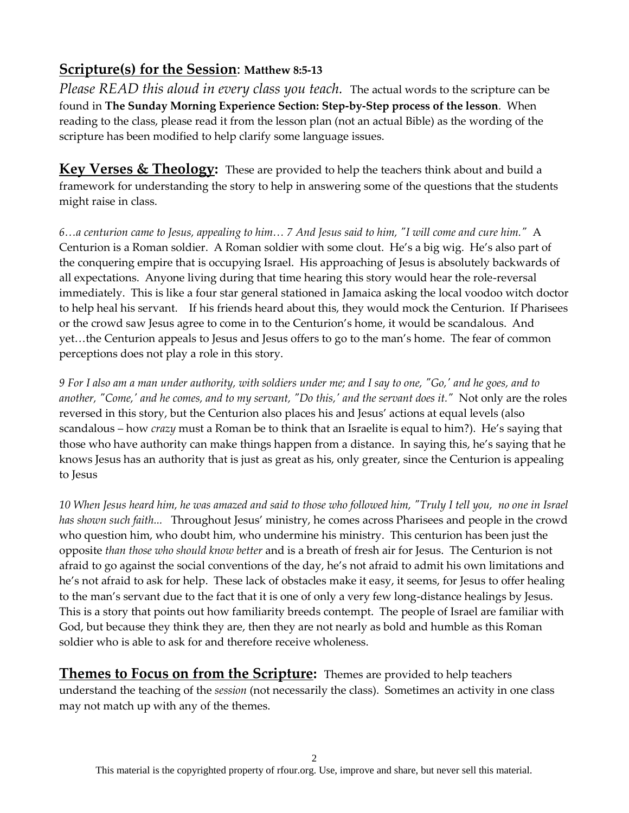# **Scripture(s) for the Session**: **Matthew 8:5-13**

*Please READ this aloud in every class you teach.* The actual words to the scripture can be found in **The Sunday Morning Experience Section: Step-by-Step process of the lesson**. When reading to the class, please read it from the lesson plan (not an actual Bible) as the wording of the scripture has been modified to help clarify some language issues.

Key Verses & Theology: These are provided to help the teachers think about and build a framework for understanding the story to help in answering some of the questions that the students might raise in class.

*6…a centurion came to Jesus, appealing to him… 7 And Jesus said to him, "I will come and cure him."* A Centurion is a Roman soldier. A Roman soldier with some clout. He's a big wig. He's also part of the conquering empire that is occupying Israel. His approaching of Jesus is absolutely backwards of all expectations. Anyone living during that time hearing this story would hear the role-reversal immediately. This is like a four star general stationed in Jamaica asking the local voodoo witch doctor to help heal his servant. If his friends heard about this, they would mock the Centurion. If Pharisees or the crowd saw Jesus agree to come in to the Centurion's home, it would be scandalous. And yet…the Centurion appeals to Jesus and Jesus offers to go to the man's home. The fear of common perceptions does not play a role in this story.

*9 For I also am a man under authority, with soldiers under me; and I say to one, "Go,' and he goes, and to another, "Come,' and he comes, and to my servant, "Do this,' and the servant does it."* Not only are the roles reversed in this story, but the Centurion also places his and Jesus' actions at equal levels (also scandalous – how *crazy* must a Roman be to think that an Israelite is equal to him?). He's saying that those who have authority can make things happen from a distance. In saying this, he's saying that he knows Jesus has an authority that is just as great as his, only greater, since the Centurion is appealing to Jesus

*10 When Jesus heard him, he was amazed and said to those who followed him, "Truly I tell you, no one in Israel has shown such faith...* Throughout Jesus' ministry, he comes across Pharisees and people in the crowd who question him, who doubt him, who undermine his ministry. This centurion has been just the opposite *than those who should know better* and is a breath of fresh air for Jesus. The Centurion is not afraid to go against the social conventions of the day, he's not afraid to admit his own limitations and he's not afraid to ask for help. These lack of obstacles make it easy, it seems, for Jesus to offer healing to the man's servant due to the fact that it is one of only a very few long-distance healings by Jesus. This is a story that points out how familiarity breeds contempt. The people of Israel are familiar with God, but because they think they are, then they are not nearly as bold and humble as this Roman soldier who is able to ask for and therefore receive wholeness.

**Themes to Focus on from the Scripture:** Themes are provided to help teachers understand the teaching of the *session* (not necessarily the class). Sometimes an activity in one class may not match up with any of the themes.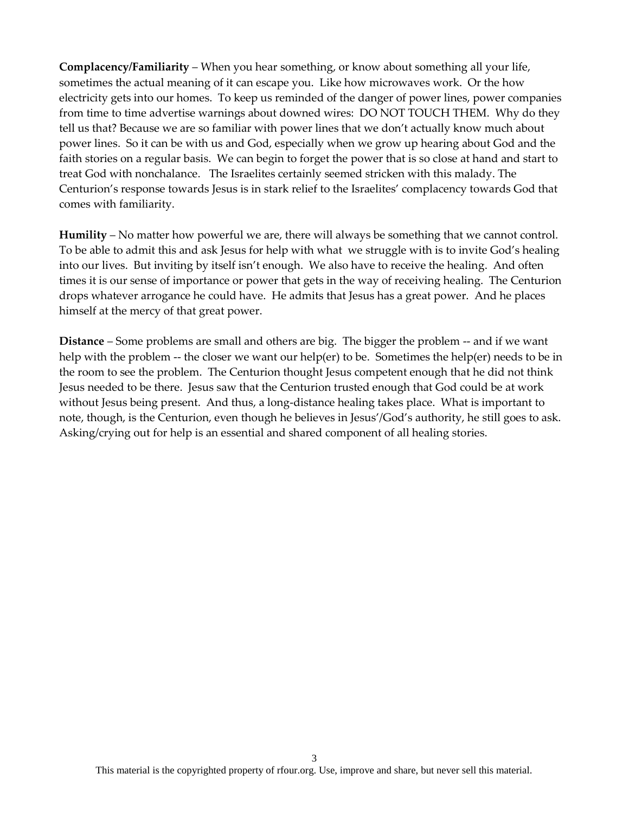**Complacency/Familiarity** – When you hear something, or know about something all your life, sometimes the actual meaning of it can escape you. Like how microwaves work. Or the how electricity gets into our homes. To keep us reminded of the danger of power lines, power companies from time to time advertise warnings about downed wires: DO NOT TOUCH THEM. Why do they tell us that? Because we are so familiar with power lines that we don't actually know much about power lines. So it can be with us and God, especially when we grow up hearing about God and the faith stories on a regular basis. We can begin to forget the power that is so close at hand and start to treat God with nonchalance. The Israelites certainly seemed stricken with this malady. The Centurion's response towards Jesus is in stark relief to the Israelites' complacency towards God that comes with familiarity.

**Humility** – No matter how powerful we are, there will always be something that we cannot control. To be able to admit this and ask Jesus for help with what we struggle with is to invite God's healing into our lives. But inviting by itself isn't enough. We also have to receive the healing. And often times it is our sense of importance or power that gets in the way of receiving healing. The Centurion drops whatever arrogance he could have. He admits that Jesus has a great power. And he places himself at the mercy of that great power.

**Distance** – Some problems are small and others are big. The bigger the problem -- and if we want help with the problem -- the closer we want our help(er) to be. Sometimes the help(er) needs to be in the room to see the problem. The Centurion thought Jesus competent enough that he did not think Jesus needed to be there. Jesus saw that the Centurion trusted enough that God could be at work without Jesus being present. And thus, a long-distance healing takes place. What is important to note, though, is the Centurion, even though he believes in Jesus'/God's authority, he still goes to ask. Asking/crying out for help is an essential and shared component of all healing stories.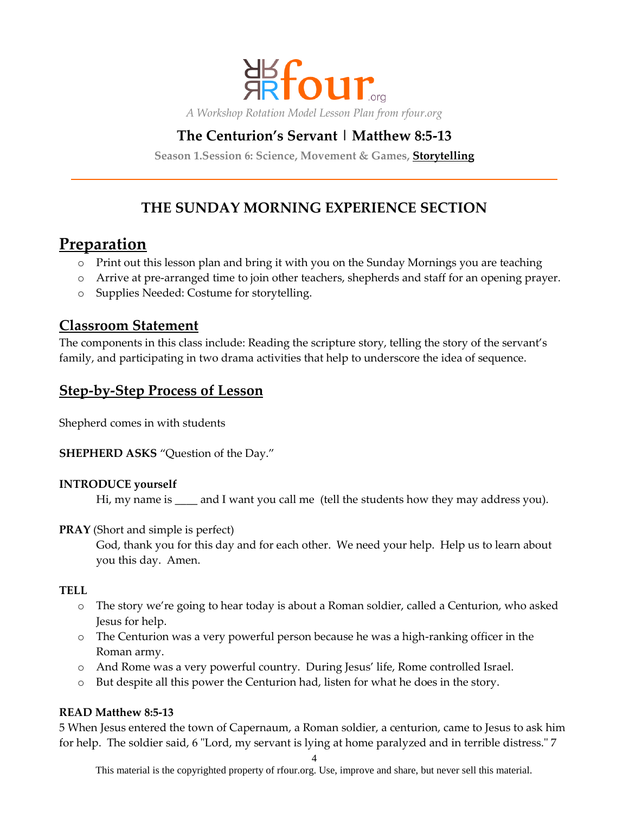

# **The Centurion's Servant | Matthew 8:5-13**

**Season 1.Session 6: Science, Movement & Games, Storytelling**

# **THE SUNDAY MORNING EXPERIENCE SECTION**

# **Preparation**

- o Print out this lesson plan and bring it with you on the Sunday Mornings you are teaching
- o Arrive at pre-arranged time to join other teachers, shepherds and staff for an opening prayer.
- o Supplies Needed: Costume for storytelling.

## **Classroom Statement**

The components in this class include: Reading the scripture story, telling the story of the servant's family, and participating in two drama activities that help to underscore the idea of sequence.

# **Step-by-Step Process of Lesson**

Shepherd comes in with students

**SHEPHERD ASKS** "Question of the Day."

#### **INTRODUCE yourself**

Hi, my name is \_\_\_\_ and I want you call me (tell the students how they may address you).

#### **PRAY** (Short and simple is perfect)

God, thank you for this day and for each other. We need your help. Help us to learn about you this day. Amen.

#### **TELL**

- o The story we're going to hear today is about a Roman soldier, called a Centurion, who asked Jesus for help.
- o The Centurion was a very powerful person because he was a high-ranking officer in the Roman army.
- o And Rome was a very powerful country. During Jesus' life, Rome controlled Israel.
- o But despite all this power the Centurion had, listen for what he does in the story.

#### **READ Matthew 8:5-13**

5 When Jesus entered the town of Capernaum, a Roman soldier, a centurion, came to Jesus to ask him for help. The soldier said, 6 "Lord, my servant is lying at home paralyzed and in terrible distress." 7

4

This material is the copyrighted property of rfour.org. Use, improve and share, but never sell this material.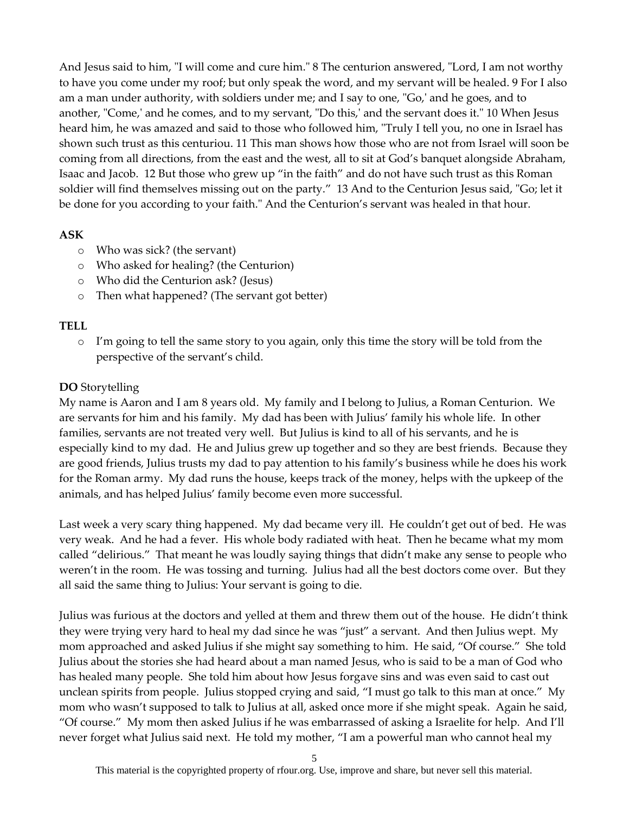And Jesus said to him, "I will come and cure him." 8 The centurion answered, "Lord, I am not worthy to have you come under my roof; but only speak the word, and my servant will be healed. 9 For I also am a man under authority, with soldiers under me; and I say to one, "Go,' and he goes, and to another, "Come,' and he comes, and to my servant, "Do this,' and the servant does it." 10 When Jesus heard him, he was amazed and said to those who followed him, "Truly I tell you, no one in Israel has shown such trust as this centuriou. 11 This man shows how those who are not from Israel will soon be coming from all directions, from the east and the west, all to sit at God's banquet alongside Abraham, Isaac and Jacob. 12 But those who grew up "in the faith" and do not have such trust as this Roman soldier will find themselves missing out on the party." 13 And to the Centurion Jesus said, "Go; let it be done for you according to your faith." And the Centurion's servant was healed in that hour.

#### **ASK**

- o Who was sick? (the servant)
- o Who asked for healing? (the Centurion)
- o Who did the Centurion ask? (Jesus)
- o Then what happened? (The servant got better)

#### **TELL**

 $\circ$  I'm going to tell the same story to you again, only this time the story will be told from the perspective of the servant's child.

### **DO** Storytelling

My name is Aaron and I am 8 years old. My family and I belong to Julius, a Roman Centurion. We are servants for him and his family. My dad has been with Julius' family his whole life. In other families, servants are not treated very well. But Julius is kind to all of his servants, and he is especially kind to my dad. He and Julius grew up together and so they are best friends. Because they are good friends, Julius trusts my dad to pay attention to his family's business while he does his work for the Roman army. My dad runs the house, keeps track of the money, helps with the upkeep of the animals, and has helped Julius' family become even more successful.

Last week a very scary thing happened. My dad became very ill. He couldn't get out of bed. He was very weak. And he had a fever. His whole body radiated with heat. Then he became what my mom called "delirious." That meant he was loudly saying things that didn't make any sense to people who weren't in the room. He was tossing and turning. Julius had all the best doctors come over. But they all said the same thing to Julius: Your servant is going to die.

Julius was furious at the doctors and yelled at them and threw them out of the house. He didn't think they were trying very hard to heal my dad since he was "just" a servant. And then Julius wept. My mom approached and asked Julius if she might say something to him. He said, "Of course." She told Julius about the stories she had heard about a man named Jesus, who is said to be a man of God who has healed many people. She told him about how Jesus forgave sins and was even said to cast out unclean spirits from people. Julius stopped crying and said, "I must go talk to this man at once." My mom who wasn't supposed to talk to Julius at all, asked once more if she might speak. Again he said, "Of course." My mom then asked Julius if he was embarrassed of asking a Israelite for help. And I'll never forget what Julius said next. He told my mother, "I am a powerful man who cannot heal my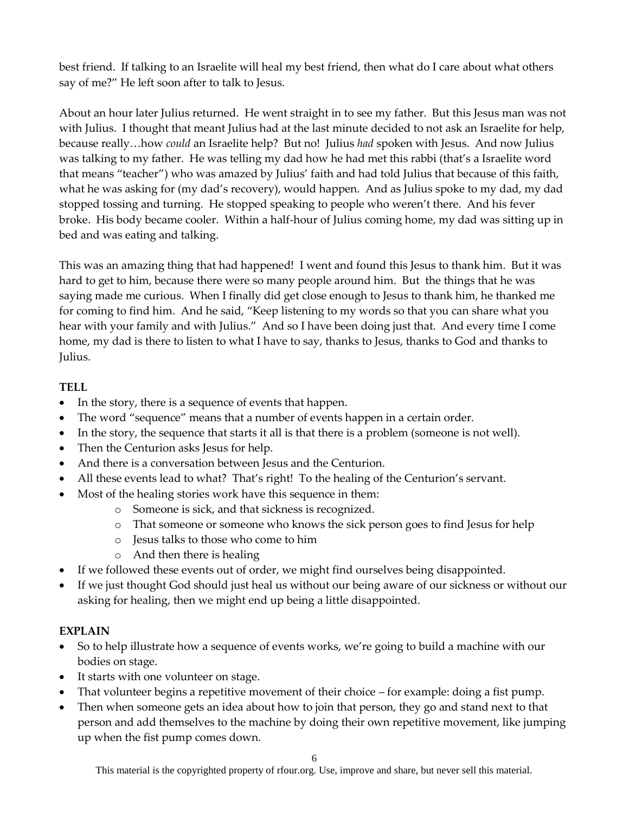best friend. If talking to an Israelite will heal my best friend, then what do I care about what others say of me?" He left soon after to talk to Jesus.

About an hour later Julius returned. He went straight in to see my father. But this Jesus man was not with Julius. I thought that meant Julius had at the last minute decided to not ask an Israelite for help, because really…how *could* an Israelite help? But no! Julius *had* spoken with Jesus. And now Julius was talking to my father. He was telling my dad how he had met this rabbi (that's a Israelite word that means "teacher") who was amazed by Julius' faith and had told Julius that because of this faith, what he was asking for (my dad's recovery), would happen. And as Julius spoke to my dad, my dad stopped tossing and turning. He stopped speaking to people who weren't there. And his fever broke. His body became cooler. Within a half-hour of Julius coming home, my dad was sitting up in bed and was eating and talking.

This was an amazing thing that had happened! I went and found this Jesus to thank him. But it was hard to get to him, because there were so many people around him. But the things that he was saying made me curious. When I finally did get close enough to Jesus to thank him, he thanked me for coming to find him. And he said, "Keep listening to my words so that you can share what you hear with your family and with Julius." And so I have been doing just that. And every time I come home, my dad is there to listen to what I have to say, thanks to Jesus, thanks to God and thanks to Julius.

### **TELL**

- In the story, there is a sequence of events that happen.
- The word "sequence" means that a number of events happen in a certain order.
- In the story, the sequence that starts it all is that there is a problem (someone is not well).
- Then the Centurion asks Jesus for help.
- And there is a conversation between Jesus and the Centurion.
- All these events lead to what? That's right! To the healing of the Centurion's servant.
- Most of the healing stories work have this sequence in them:
	- o Someone is sick, and that sickness is recognized.
	- o That someone or someone who knows the sick person goes to find Jesus for help
	- o Jesus talks to those who come to him
	- o And then there is healing
- If we followed these events out of order, we might find ourselves being disappointed.
- If we just thought God should just heal us without our being aware of our sickness or without our asking for healing, then we might end up being a little disappointed.

## **EXPLAIN**

- So to help illustrate how a sequence of events works, we're going to build a machine with our bodies on stage.
- It starts with one volunteer on stage.
- That volunteer begins a repetitive movement of their choice for example: doing a fist pump.
- Then when someone gets an idea about how to join that person, they go and stand next to that person and add themselves to the machine by doing their own repetitive movement, like jumping up when the fist pump comes down.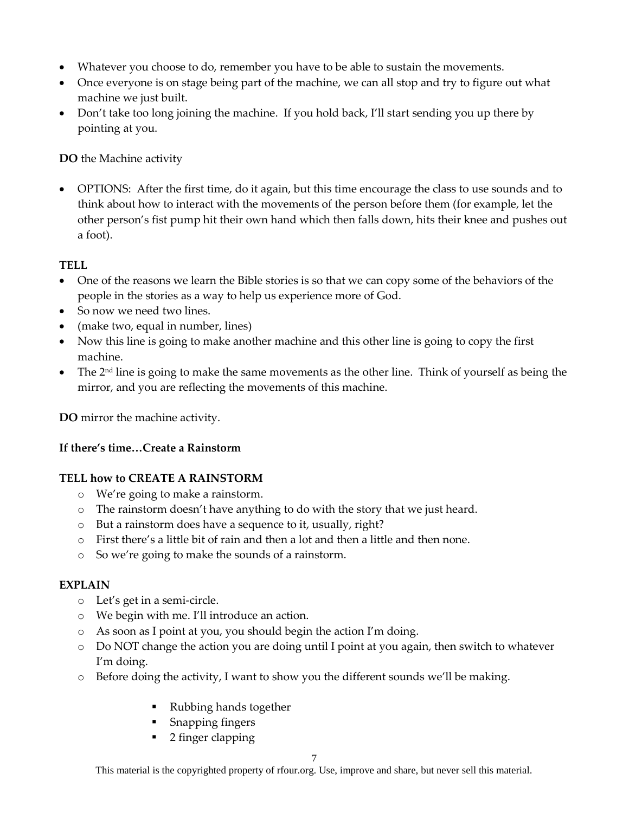- Whatever you choose to do, remember you have to be able to sustain the movements.
- Once everyone is on stage being part of the machine, we can all stop and try to figure out what machine we just built.
- Don't take too long joining the machine. If you hold back, I'll start sending you up there by pointing at you.

**DO** the Machine activity

 OPTIONS: After the first time, do it again, but this time encourage the class to use sounds and to think about how to interact with the movements of the person before them (for example, let the other person's fist pump hit their own hand which then falls down, hits their knee and pushes out a foot).

## **TELL**

- One of the reasons we learn the Bible stories is so that we can copy some of the behaviors of the people in the stories as a way to help us experience more of God.
- So now we need two lines.
- (make two, equal in number, lines)
- Now this line is going to make another machine and this other line is going to copy the first machine.
- $\bullet$  The 2<sup>nd</sup> line is going to make the same movements as the other line. Think of yourself as being the mirror, and you are reflecting the movements of this machine.

**DO** mirror the machine activity.

## **If there's time…Create a Rainstorm**

## **TELL how to CREATE A RAINSTORM**

- o We're going to make a rainstorm.
- o The rainstorm doesn't have anything to do with the story that we just heard.
- o But a rainstorm does have a sequence to it, usually, right?
- $\circ$  First there's a little bit of rain and then a lot and then a little and then none.
- o So we're going to make the sounds of a rainstorm.

## **EXPLAIN**

- o Let's get in a semi-circle.
- o We begin with me. I'll introduce an action.
- o As soon as I point at you, you should begin the action I'm doing.
- o Do NOT change the action you are doing until I point at you again, then switch to whatever I'm doing.
- o Before doing the activity, I want to show you the different sounds we'll be making.
	- Rubbing hands together
	- **Snapping fingers**
	- 2 finger clapping

This material is the copyrighted property of rfour.org. Use, improve and share, but never sell this material.